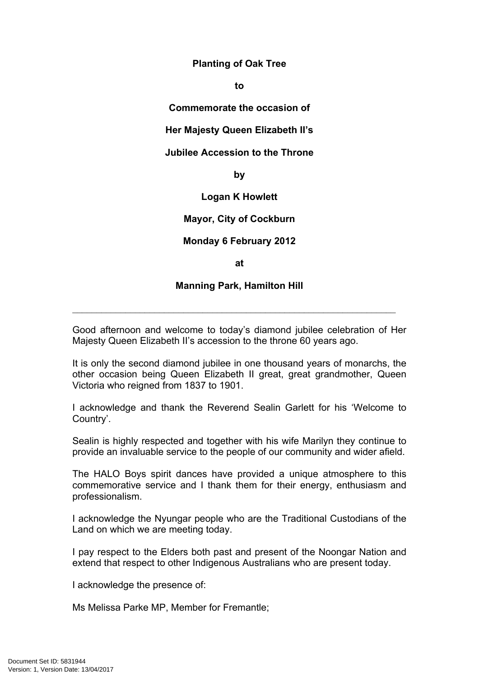# **Planting of Oak Tree**

**to**

**Commemorate the occasion of**

**Her Majesty Queen Elizabeth II's**

## **Jubilee Accession to the Throne**

**by**

## **Logan K Howlett**

# **Mayor, City of Cockburn**

# **Monday 6 February 2012**

**at**

## **Manning Park, Hamilton Hill**

 $\_$  , and the set of the set of the set of the set of the set of the set of the set of the set of the set of the set of the set of the set of the set of the set of the set of the set of the set of the set of the set of th

Good afternoon and welcome to today's diamond jubilee celebration of Her Majesty Queen Elizabeth II's accession to the throne 60 years ago.

It is only the second diamond jubilee in one thousand years of monarchs, the other occasion being Queen Elizabeth II great, great grandmother, Queen Victoria who reigned from 1837 to 1901.

I acknowledge and thank the Reverend Sealin Garlett for his 'Welcome to Country'.

Sealin is highly respected and together with his wife Marilyn they continue to provide an invaluable service to the people of our community and wider afield.

The HALO Boys spirit dances have provided a unique atmosphere to this commemorative service and I thank them for their energy, enthusiasm and professionalism.

I acknowledge the Nyungar people who are the Traditional Custodians of the Land on which we are meeting today.

I pay respect to the Elders both past and present of the Noongar Nation and extend that respect to other Indigenous Australians who are present today.

I acknowledge the presence of:

Ms Melissa Parke MP, Member for Fremantle;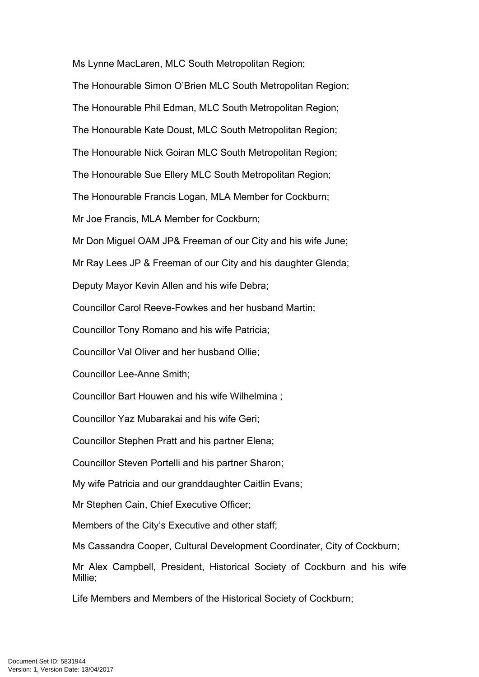Ms Lynne MacLaren, MLC South Metropolitan Region;

The Honourable Simon O'Brien MLC South Metropolitan Region;

The Honourable Phil Edman, MLC South Metropolitan Region;

The Honourable Kate Doust, MLC South Metropolitan Region;

The Honourable Nick Goiran MLC South Metropolitan Region;

The Honourable Sue Ellery MLC South Metropolitan Region;

The Honourable Francis Logan, MLA Member for Cockburn;

Mr Joe Francis, MLA Member for Cockburn;

Mr Don Miguel OAM JP& Freeman of our City and his wife June;

Mr Ray Lees JP & Freeman of our City and his daughter Glenda;

Deputy Mayor Kevin Allen and his wife Debra;

Councillor Carol Reeve-Fowkes and her husband Martin;

Councillor Tony Romano and his wife Patricia;

Councillor Val Oliver and her husband Ollie;

Councillor Lee-Anne Smith;

Councillor Bart Houwen and his wife Wilhelmina ;

Councillor Yaz Mubarakai and his wife Geri;

Councillor Stephen Pratt and his partner Elena;

Councillor Steven Portelli and his partner Sharon;

My wife Patricia and our granddaughter Caitlin Evans;

Mr Stephen Cain, Chief Executive Officer;

Members of the City's Executive and other staff;

Ms Cassandra Cooper, Cultural Development Coordinater, City of Cockburn;

Mr Alex Campbell, President, Historical Society of Cockburn and his wife Millie;

Life Members and Members of the Historical Society of Cockburn;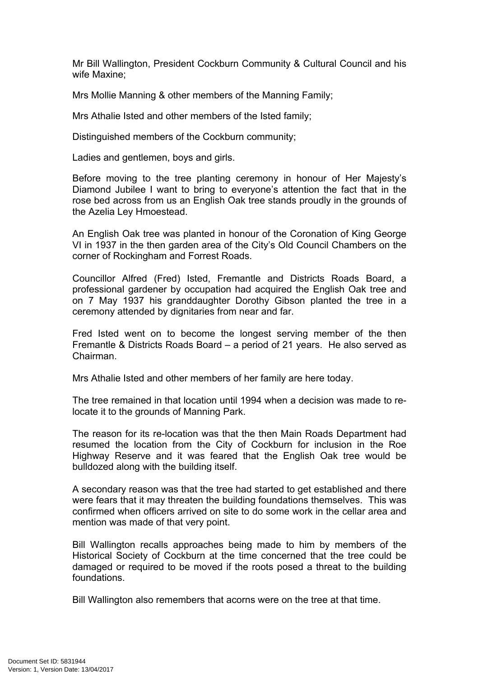Mr Bill Wallington, President Cockburn Community & Cultural Council and his wife Maxine;

Mrs Mollie Manning & other members of the Manning Family;

Mrs Athalie Isted and other members of the Isted family;

Distinguished members of the Cockburn community;

Ladies and gentlemen, boys and girls.

Before moving to the tree planting ceremony in honour of Her Majesty's Diamond Jubilee I want to bring to everyone's attention the fact that in the rose bed across from us an English Oak tree stands proudly in the grounds of the Azelia Ley Hmoestead.

An English Oak tree was planted in honour of the Coronation of King George VI in 1937 in the then garden area of the City's Old Council Chambers on the corner of Rockingham and Forrest Roads.

Councillor Alfred (Fred) Isted, Fremantle and Districts Roads Board, a professional gardener by occupation had acquired the English Oak tree and on 7 May 1937 his granddaughter Dorothy Gibson planted the tree in a ceremony attended by dignitaries from near and far.

Fred Isted went on to become the longest serving member of the then Fremantle & Districts Roads Board – a period of 21 years. He also served as Chairman.

Mrs Athalie Isted and other members of her family are here today.

The tree remained in that location until 1994 when a decision was made to relocate it to the grounds of Manning Park.

The reason for its re-location was that the then Main Roads Department had resumed the location from the City of Cockburn for inclusion in the Roe Highway Reserve and it was feared that the English Oak tree would be bulldozed along with the building itself.

A secondary reason was that the tree had started to get established and there were fears that it may threaten the building foundations themselves. This was confirmed when officers arrived on site to do some work in the cellar area and mention was made of that very point.

Bill Wallington recalls approaches being made to him by members of the Historical Society of Cockburn at the time concerned that the tree could be damaged or required to be moved if the roots posed a threat to the building foundations.

Bill Wallington also remembers that acorns were on the tree at that time.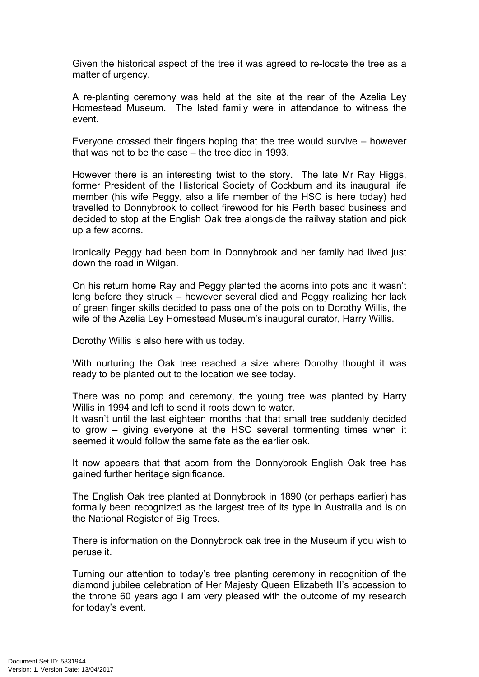Given the historical aspect of the tree it was agreed to re-locate the tree as a matter of urgency.

A re-planting ceremony was held at the site at the rear of the Azelia Ley Homestead Museum. The Isted family were in attendance to witness the event.

Everyone crossed their fingers hoping that the tree would survive – however that was not to be the case – the tree died in 1993.

However there is an interesting twist to the story. The late Mr Ray Higgs, former President of the Historical Society of Cockburn and its inaugural life member (his wife Peggy, also a life member of the HSC is here today) had travelled to Donnybrook to collect firewood for his Perth based business and decided to stop at the English Oak tree alongside the railway station and pick up a few acorns.

Ironically Peggy had been born in Donnybrook and her family had lived just down the road in Wilgan.

On his return home Ray and Peggy planted the acorns into pots and it wasn't long before they struck – however several died and Peggy realizing her lack of green finger skills decided to pass one of the pots on to Dorothy Willis, the wife of the Azelia Ley Homestead Museum's inaugural curator, Harry Willis.

Dorothy Willis is also here with us today.

With nurturing the Oak tree reached a size where Dorothy thought it was ready to be planted out to the location we see today.

There was no pomp and ceremony, the young tree was planted by Harry Willis in 1994 and left to send it roots down to water.

It wasn't until the last eighteen months that that small tree suddenly decided to grow – giving everyone at the HSC several tormenting times when it seemed it would follow the same fate as the earlier oak.

It now appears that that acorn from the Donnybrook English Oak tree has gained further heritage significance.

The English Oak tree planted at Donnybrook in 1890 (or perhaps earlier) has formally been recognized as the largest tree of its type in Australia and is on the National Register of Big Trees.

There is information on the Donnybrook oak tree in the Museum if you wish to peruse it.

Turning our attention to today's tree planting ceremony in recognition of the diamond jubilee celebration of Her Majesty Queen Elizabeth II's accession to the throne 60 years ago I am very pleased with the outcome of my research for today's event.